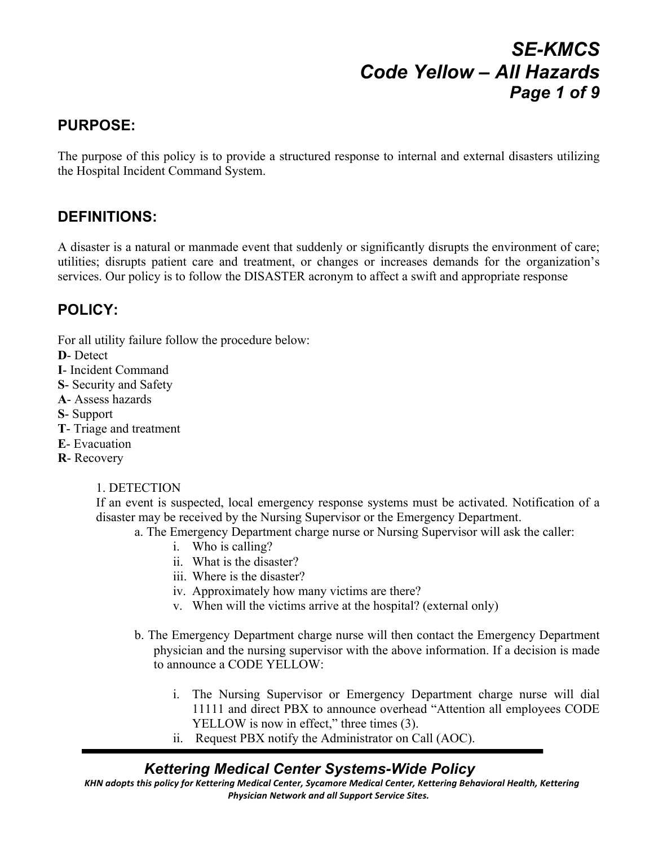# *SE-KMCS Code Yellow – All Hazards Page 1 of 9*

### **PURPOSE:**

The purpose of this policy is to provide a structured response to internal and external disasters utilizing the Hospital Incident Command System.

### **DEFINITIONS:**

A disaster is a natural or manmade event that suddenly or significantly disrupts the environment of care; utilities; disrupts patient care and treatment, or changes or increases demands for the organization's services. Our policy is to follow the DISASTER acronym to affect a swift and appropriate response

#### **POLICY:**

For all utility failure follow the procedure below:

- **D** Detect
- **I** Incident Command
- **S** Security and Safety
- **A** Assess hazards
- **S** Support
- **T** Triage and treatment
- **E** Evacuation
- **R** Recovery

#### 1. DETECTION

If an event is suspected, local emergency response systems must be activated. Notification of a disaster may be received by the Nursing Supervisor or the Emergency Department.

- a. The Emergency Department charge nurse or Nursing Supervisor will ask the caller:
	- i. Who is calling?
	- ii. What is the disaster?
	- iii. Where is the disaster?
	- iv. Approximately how many victims are there?
	- v. When will the victims arrive at the hospital? (external only)
- b. The Emergency Department charge nurse will then contact the Emergency Department physician and the nursing supervisor with the above information. If a decision is made to announce a CODE YELLOW:
	- i. The Nursing Supervisor or Emergency Department charge nurse will dial 11111 and direct PBX to announce overhead "Attention all employees CODE YELLOW is now in effect," three times  $(3)$ .
	- ii. Request PBX notify the Administrator on Call (AOC).

### *Kettering Medical Center Systems-Wide Policy*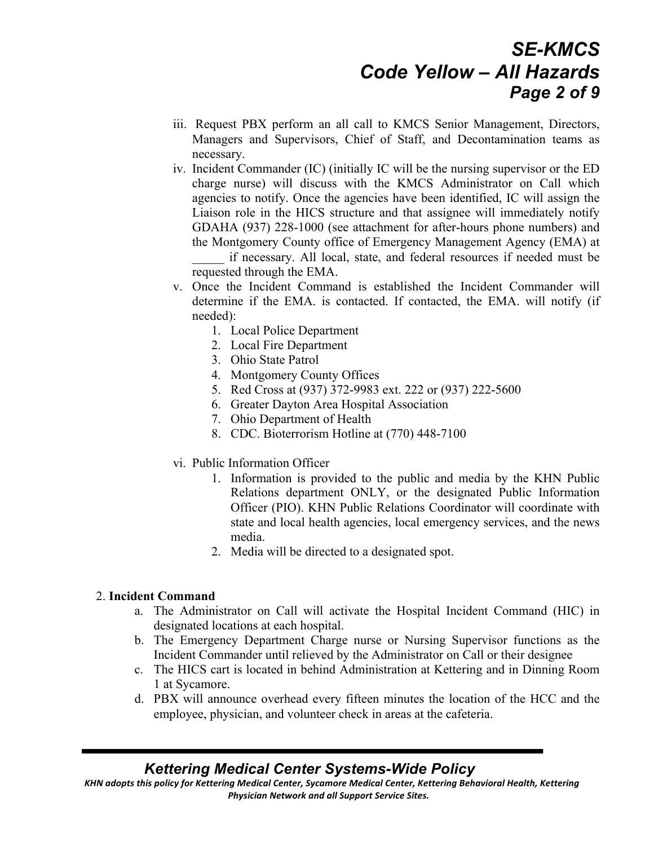## *SE-KMCS Code Yellow – All Hazards Page 2 of 9*

- iii. Request PBX perform an all call to KMCS Senior Management, Directors, Managers and Supervisors, Chief of Staff, and Decontamination teams as necessary.
- iv. Incident Commander (IC) (initially IC will be the nursing supervisor or the ED charge nurse) will discuss with the KMCS Administrator on Call which agencies to notify. Once the agencies have been identified, IC will assign the Liaison role in the HICS structure and that assignee will immediately notify GDAHA (937) 228-1000 (see attachment for after-hours phone numbers) and the Montgomery County office of Emergency Management Agency (EMA) at \_\_\_\_\_ if necessary. All local, state, and federal resources if needed must be requested through the EMA.
- v. Once the Incident Command is established the Incident Commander will determine if the EMA. is contacted. If contacted, the EMA. will notify (if needed):
	- 1. Local Police Department
	- 2. Local Fire Department
	- 3. Ohio State Patrol
	- 4. Montgomery County Offices
	- 5. Red Cross at (937) 372-9983 ext. 222 or (937) 222-5600
	- 6. Greater Dayton Area Hospital Association
	- 7. Ohio Department of Health
	- 8. CDC. Bioterrorism Hotline at (770) 448-7100
- vi. Public Information Officer
	- 1. Information is provided to the public and media by the KHN Public Relations department ONLY, or the designated Public Information Officer (PIO). KHN Public Relations Coordinator will coordinate with state and local health agencies, local emergency services, and the news media.
	- 2. Media will be directed to a designated spot.

#### 2. **Incident Command**

- a. The Administrator on Call will activate the Hospital Incident Command (HIC) in designated locations at each hospital.
- b. The Emergency Department Charge nurse or Nursing Supervisor functions as the Incident Commander until relieved by the Administrator on Call or their designee
- c. The HICS cart is located in behind Administration at Kettering and in Dinning Room 1 at Sycamore.
- d. PBX will announce overhead every fifteen minutes the location of the HCC and the employee, physician, and volunteer check in areas at the cafeteria.

### *Kettering Medical Center Systems-Wide Policy*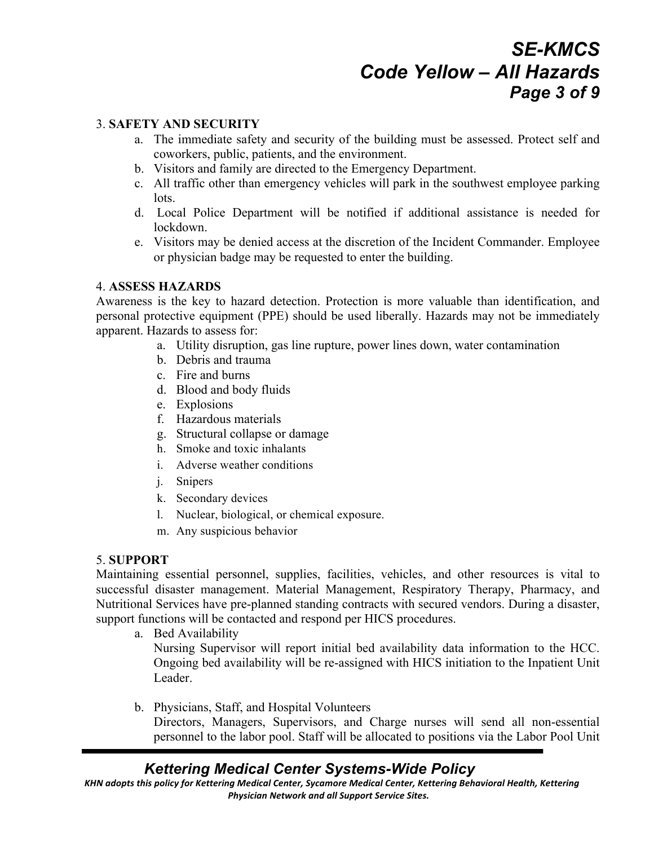## *SE-KMCS Code Yellow – All Hazards Page 3 of 9*

#### 3. **SAFETY AND SECURITY**

- a. The immediate safety and security of the building must be assessed. Protect self and coworkers, public, patients, and the environment.
- b. Visitors and family are directed to the Emergency Department.
- c. All traffic other than emergency vehicles will park in the southwest employee parking lots.
- d. Local Police Department will be notified if additional assistance is needed for lockdown.
- e. Visitors may be denied access at the discretion of the Incident Commander. Employee or physician badge may be requested to enter the building.

#### 4. **ASSESS HAZARDS**

Awareness is the key to hazard detection. Protection is more valuable than identification, and personal protective equipment (PPE) should be used liberally. Hazards may not be immediately apparent. Hazards to assess for:

- a. Utility disruption, gas line rupture, power lines down, water contamination
- b. Debris and trauma
- c. Fire and burns
- d. Blood and body fluids
- e. Explosions
- f. Hazardous materials
- g. Structural collapse or damage
- h. Smoke and toxic inhalants
- i. Adverse weather conditions
- j. Snipers
- k. Secondary devices
- l. Nuclear, biological, or chemical exposure.
- m. Any suspicious behavior

#### 5. **SUPPORT**

Maintaining essential personnel, supplies, facilities, vehicles, and other resources is vital to successful disaster management. Material Management, Respiratory Therapy, Pharmacy, and Nutritional Services have pre-planned standing contracts with secured vendors. During a disaster, support functions will be contacted and respond per HICS procedures.

a. Bed Availability

Nursing Supervisor will report initial bed availability data information to the HCC. Ongoing bed availability will be re-assigned with HICS initiation to the Inpatient Unit Leader.

b. Physicians, Staff, and Hospital Volunteers Directors, Managers, Supervisors, and Charge nurses will send all non-essential personnel to the labor pool. Staff will be allocated to positions via the Labor Pool Unit

### *Kettering Medical Center Systems-Wide Policy*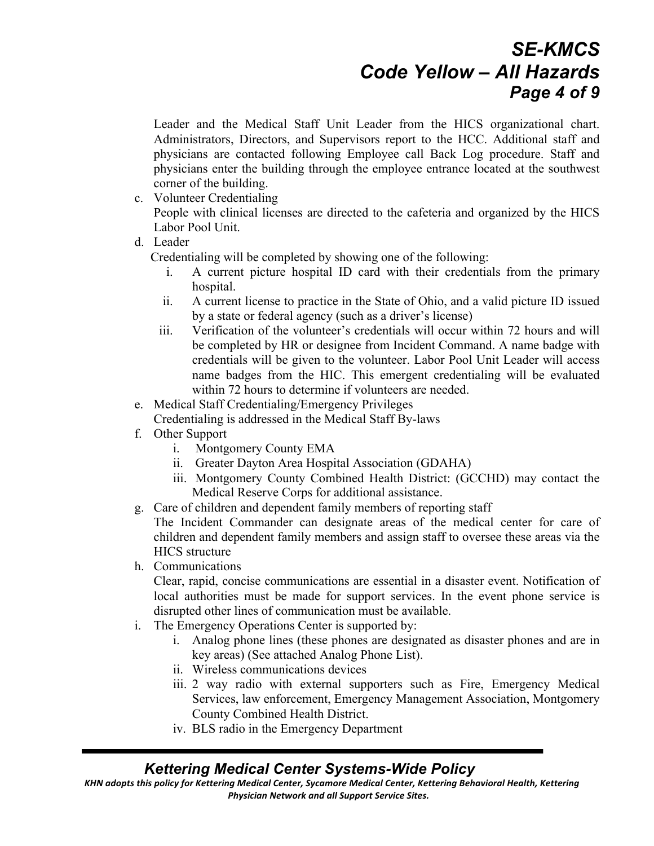## *SE-KMCS Code Yellow – All Hazards Page 4 of 9*

Leader and the Medical Staff Unit Leader from the HICS organizational chart. Administrators, Directors, and Supervisors report to the HCC. Additional staff and physicians are contacted following Employee call Back Log procedure. Staff and physicians enter the building through the employee entrance located at the southwest corner of the building.

- c. Volunteer Credentialing People with clinical licenses are directed to the cafeteria and organized by the HICS Labor Pool Unit.
- d. Leader

Credentialing will be completed by showing one of the following:

- i. A current picture hospital ID card with their credentials from the primary hospital.
- ii. A current license to practice in the State of Ohio, and a valid picture ID issued by a state or federal agency (such as a driver's license)
- iii. Verification of the volunteer's credentials will occur within 72 hours and will be completed by HR or designee from Incident Command. A name badge with credentials will be given to the volunteer. Labor Pool Unit Leader will access name badges from the HIC. This emergent credentialing will be evaluated within 72 hours to determine if volunteers are needed.
- e. Medical Staff Credentialing/Emergency Privileges
- Credentialing is addressed in the Medical Staff By-laws
- f. Other Support
	- i. Montgomery County EMA
	- ii. Greater Dayton Area Hospital Association (GDAHA)
	- iii. Montgomery County Combined Health District: (GCCHD) may contact the Medical Reserve Corps for additional assistance.
- g. Care of children and dependent family members of reporting staff

The Incident Commander can designate areas of the medical center for care of children and dependent family members and assign staff to oversee these areas via the HICS structure

h. Communications

Clear, rapid, concise communications are essential in a disaster event. Notification of local authorities must be made for support services. In the event phone service is disrupted other lines of communication must be available.

- i. The Emergency Operations Center is supported by:
	- i. Analog phone lines (these phones are designated as disaster phones and are in key areas) (See attached Analog Phone List).
	- ii. Wireless communications devices
	- iii. 2 way radio with external supporters such as Fire, Emergency Medical Services, law enforcement, Emergency Management Association, Montgomery County Combined Health District.
	- iv. BLS radio in the Emergency Department

### *Kettering Medical Center Systems-Wide Policy*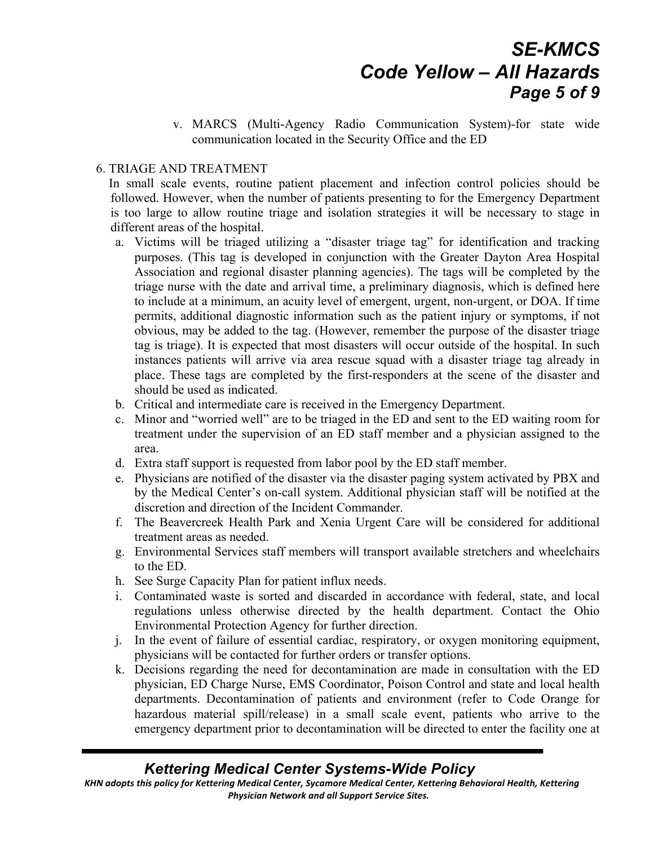# *SE-KMCS Code Yellow – All Hazards Page 5 of 9*

v. MARCS (Multi-Agency Radio Communication System)-for state wide communication located in the Security Office and the ED

#### 6. TRIAGE AND TREATMENT

 In small scale events, routine patient placement and infection control policies should be followed. However, when the number of patients presenting to for the Emergency Department is too large to allow routine triage and isolation strategies it will be necessary to stage in different areas of the hospital.

- a. Victims will be triaged utilizing a "disaster triage tag" for identification and tracking purposes. (This tag is developed in conjunction with the Greater Dayton Area Hospital Association and regional disaster planning agencies). The tags will be completed by the triage nurse with the date and arrival time, a preliminary diagnosis, which is defined here to include at a minimum, an acuity level of emergent, urgent, non-urgent, or DOA. If time permits, additional diagnostic information such as the patient injury or symptoms, if not obvious, may be added to the tag. (However, remember the purpose of the disaster triage tag is triage). It is expected that most disasters will occur outside of the hospital. In such instances patients will arrive via area rescue squad with a disaster triage tag already in place. These tags are completed by the first-responders at the scene of the disaster and should be used as indicated.
- b. Critical and intermediate care is received in the Emergency Department.
- c. Minor and "worried well" are to be triaged in the ED and sent to the ED waiting room for treatment under the supervision of an ED staff member and a physician assigned to the area.
- d. Extra staff support is requested from labor pool by the ED staff member.
- e. Physicians are notified of the disaster via the disaster paging system activated by PBX and by the Medical Center's on-call system. Additional physician staff will be notified at the discretion and direction of the Incident Commander.
- f. The Beavercreek Health Park and Xenia Urgent Care will be considered for additional treatment areas as needed.
- g. Environmental Services staff members will transport available stretchers and wheelchairs to the ED.
- h. See Surge Capacity Plan for patient influx needs.
- i. Contaminated waste is sorted and discarded in accordance with federal, state, and local regulations unless otherwise directed by the health department. Contact the Ohio Environmental Protection Agency for further direction.
- j. In the event of failure of essential cardiac, respiratory, or oxygen monitoring equipment, physicians will be contacted for further orders or transfer options.
- k. Decisions regarding the need for decontamination are made in consultation with the ED physician, ED Charge Nurse, EMS Coordinator, Poison Control and state and local health departments. Decontamination of patients and environment (refer to Code Orange for hazardous material spill/release) in a small scale event, patients who arrive to the emergency department prior to decontamination will be directed to enter the facility one at

### *Kettering Medical Center Systems-Wide Policy*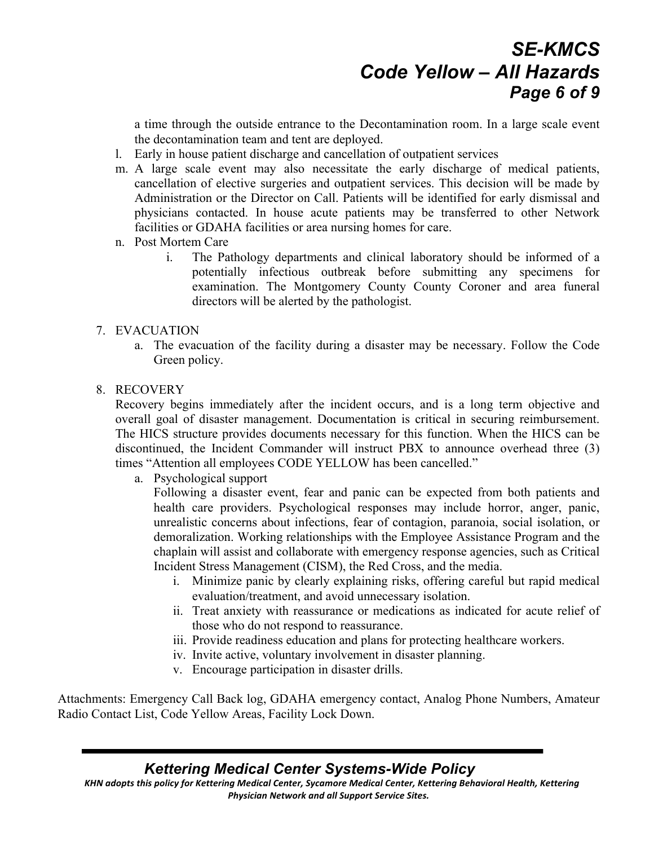## *SE-KMCS Code Yellow – All Hazards Page 6 of 9*

a time through the outside entrance to the Decontamination room. In a large scale event the decontamination team and tent are deployed.

- l. Early in house patient discharge and cancellation of outpatient services
- m. A large scale event may also necessitate the early discharge of medical patients, cancellation of elective surgeries and outpatient services. This decision will be made by Administration or the Director on Call. Patients will be identified for early dismissal and physicians contacted. In house acute patients may be transferred to other Network facilities or GDAHA facilities or area nursing homes for care.
- n. Post Mortem Care
	- i. The Pathology departments and clinical laboratory should be informed of a potentially infectious outbreak before submitting any specimens for examination. The Montgomery County County Coroner and area funeral directors will be alerted by the pathologist.

#### 7. EVACUATION

a. The evacuation of the facility during a disaster may be necessary. Follow the Code Green policy.

#### 8. RECOVERY

Recovery begins immediately after the incident occurs, and is a long term objective and overall goal of disaster management. Documentation is critical in securing reimbursement. The HICS structure provides documents necessary for this function. When the HICS can be discontinued, the Incident Commander will instruct PBX to announce overhead three (3) times "Attention all employees CODE YELLOW has been cancelled."

a. Psychological support

Following a disaster event, fear and panic can be expected from both patients and health care providers. Psychological responses may include horror, anger, panic, unrealistic concerns about infections, fear of contagion, paranoia, social isolation, or demoralization. Working relationships with the Employee Assistance Program and the chaplain will assist and collaborate with emergency response agencies, such as Critical Incident Stress Management (CISM), the Red Cross, and the media.

- i. Minimize panic by clearly explaining risks, offering careful but rapid medical evaluation/treatment, and avoid unnecessary isolation.
- ii. Treat anxiety with reassurance or medications as indicated for acute relief of those who do not respond to reassurance.
- iii. Provide readiness education and plans for protecting healthcare workers.
- iv. Invite active, voluntary involvement in disaster planning.
- v. Encourage participation in disaster drills.

Attachments: Emergency Call Back log, GDAHA emergency contact, Analog Phone Numbers, Amateur Radio Contact List, Code Yellow Areas, Facility Lock Down.

### *Kettering Medical Center Systems-Wide Policy*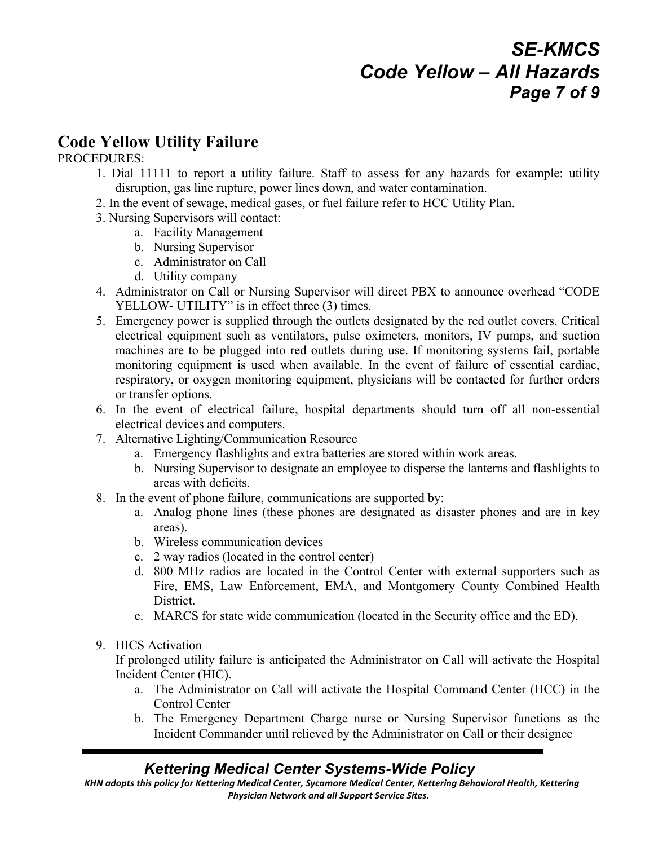# *SE-KMCS Code Yellow – All Hazards Page 7 of 9*

## **Code Yellow Utility Failure**

#### PROCEDURES:

- 1. Dial 11111 to report a utility failure. Staff to assess for any hazards for example: utility disruption, gas line rupture, power lines down, and water contamination.
- 2. In the event of sewage, medical gases, or fuel failure refer to HCC Utility Plan.
- 3. Nursing Supervisors will contact:
	- a. Facility Management
	- b. Nursing Supervisor
	- c. Administrator on Call
	- d. Utility company
- 4. Administrator on Call or Nursing Supervisor will direct PBX to announce overhead "CODE YELLOW- UTILITY" is in effect three (3) times.
- 5. Emergency power is supplied through the outlets designated by the red outlet covers. Critical electrical equipment such as ventilators, pulse oximeters, monitors, IV pumps, and suction machines are to be plugged into red outlets during use. If monitoring systems fail, portable monitoring equipment is used when available. In the event of failure of essential cardiac, respiratory, or oxygen monitoring equipment, physicians will be contacted for further orders or transfer options.
- 6. In the event of electrical failure, hospital departments should turn off all non-essential electrical devices and computers.
- 7. Alternative Lighting/Communication Resource
	- a. Emergency flashlights and extra batteries are stored within work areas.
	- b. Nursing Supervisor to designate an employee to disperse the lanterns and flashlights to areas with deficits.
- 8. In the event of phone failure, communications are supported by:
	- a. Analog phone lines (these phones are designated as disaster phones and are in key areas).
	- b. Wireless communication devices
	- c. 2 way radios (located in the control center)
	- d. 800 MHz radios are located in the Control Center with external supporters such as Fire, EMS, Law Enforcement, EMA, and Montgomery County Combined Health District.
	- e. MARCS for state wide communication (located in the Security office and the ED).
- 9. HICS Activation

If prolonged utility failure is anticipated the Administrator on Call will activate the Hospital Incident Center (HIC).

- a. The Administrator on Call will activate the Hospital Command Center (HCC) in the Control Center
- b. The Emergency Department Charge nurse or Nursing Supervisor functions as the Incident Commander until relieved by the Administrator on Call or their designee

### *Kettering Medical Center Systems-Wide Policy*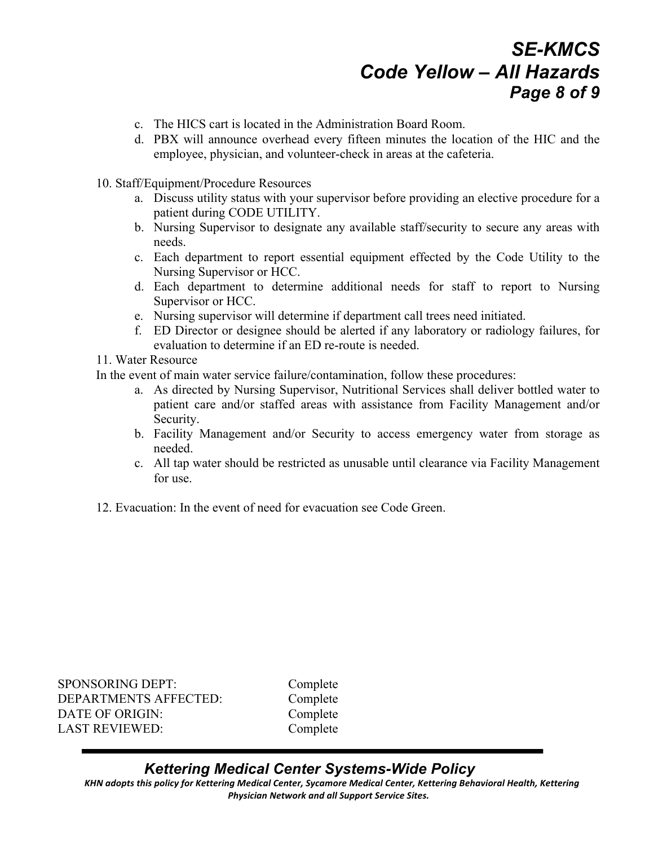## *SE-KMCS Code Yellow – All Hazards Page 8 of 9*

- c. The HICS cart is located in the Administration Board Room.
- d. PBX will announce overhead every fifteen minutes the location of the HIC and the employee, physician, and volunteer-check in areas at the cafeteria.
- 10. Staff/Equipment/Procedure Resources
	- a. Discuss utility status with your supervisor before providing an elective procedure for a patient during CODE UTILITY.
	- b. Nursing Supervisor to designate any available staff/security to secure any areas with needs.
	- c. Each department to report essential equipment effected by the Code Utility to the Nursing Supervisor or HCC.
	- d. Each department to determine additional needs for staff to report to Nursing Supervisor or HCC.
	- e. Nursing supervisor will determine if department call trees need initiated.
	- f. ED Director or designee should be alerted if any laboratory or radiology failures, for evaluation to determine if an ED re-route is needed.
- 11. Water Resource

In the event of main water service failure/contamination, follow these procedures:

- a. As directed by Nursing Supervisor, Nutritional Services shall deliver bottled water to patient care and/or staffed areas with assistance from Facility Management and/or Security.
- b. Facility Management and/or Security to access emergency water from storage as needed.
- c. All tap water should be restricted as unusable until clearance via Facility Management for use.
- 12. Evacuation: In the event of need for evacuation see Code Green.

SPONSORING DEPT: Complete DEPARTMENTS AFFECTED: Complete DATE OF ORIGIN: Complete LAST REVIEWED: Complete